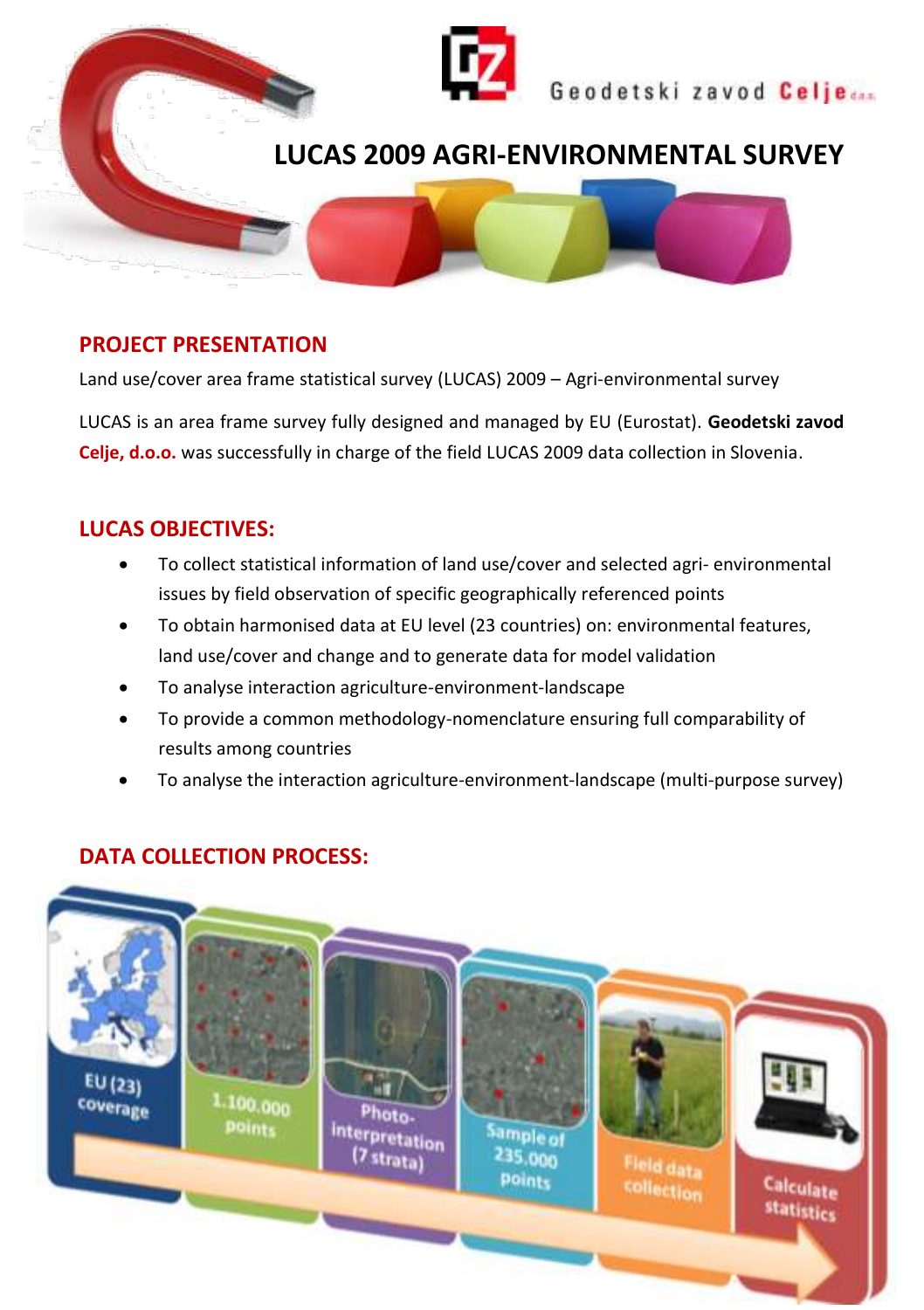

# **LUCAS 2009 AGRI-ENVIRONMENTAL SURVEY**



### **PROJECT PRESENTATION**

Land use/cover area frame statistical survey (LUCAS) 2009 – Agri-environmental survey

LUCAS is an area frame survey fully designed and managed by EU (Eurostat). **Geodetski zavod Celje, d.o.o.** was successfully in charge of the field LUCAS 2009 data collection in Slovenia.

## **LUCAS OBJECTIVES:**

- To collect statistical information of land use/cover and selected agri- environmental issues by field observation of specific geographically referenced points
- To obtain harmonised data at EU level (23 countries) on: environmental features, land use/cover and change and to generate data for model validation
- To analyse interaction agriculture-environment-landscape
- To provide a common methodology-nomenclature ensuring full comparability of results among countries
- To analyse the interaction agriculture-environment-landscape (multi-purpose survey)



## **DATA COLLECTION PROCESS:**